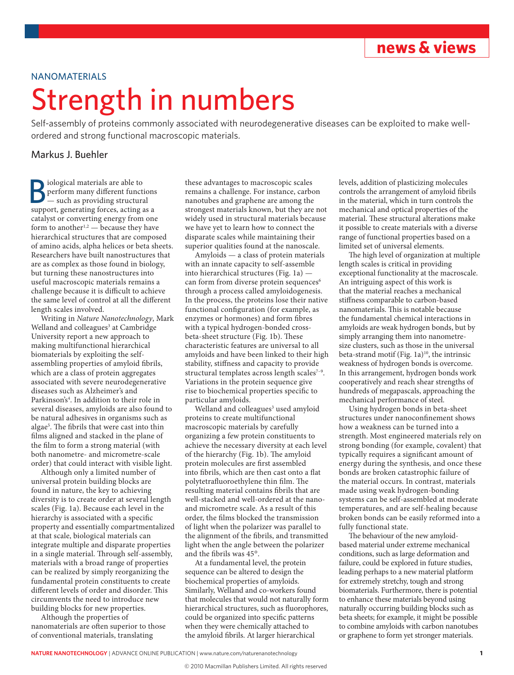**news & views**

## NANOMATERIALS

## Strength in numbers

Self-assembly of proteins commonly associated with neurodegenerative diseases can be exploited to make wellordered and strong functional macroscopic materials.

## Markus J. Buehler

Biological materials are able to<br>perform many different functions when the sumport and as providing structure<br>sumport generating forces acting as perform many different functions — such as providing structural support, generating forces, acting as a catalyst or converting energy from one form to another<sup>1,2</sup> — because they have hierarchical structures that are composed of amino acids, alpha helices or beta sheets. Researchers have built nanostructures that are as complex as those found in biology, but turning these nanostructures into useful macroscopic materials remains a challenge because it is difficult to achieve the same level of control at all the different length scales involved.

Writing in *Nature Nanotechnology*, Mark Welland and colleagues<sup>3</sup> at Cambridge University report a new approach to making multifunctional hierarchical biomaterials by exploiting the selfassembling properties of amyloid fibrils, which are a class of protein aggregates associated with severe neurodegenerative diseases such as Alzheimer's and Parkinson's<sup>4</sup>. In addition to their role in several diseases, amyloids are also found to be natural adhesives in organisms such as algae5 . The fibrils that were cast into thin films aligned and stacked in the plane of the film to form a strong material (with both nanometre- and micrometre-scale order) that could interact with visible light.

Although only a limited number of universal protein building blocks are found in nature, the key to achieving diversity is to create order at several length scales (Fig. 1a). Because each level in the hierarchy is associated with a specific property and essentially compartmentalized at that scale, biological materials can integrate multiple and disparate properties in a single material. Through self-assembly, materials with a broad range of properties can be realized by simply reorganizing the fundamental protein constituents to create different levels of order and disorder. This circumvents the need to introduce new building blocks for new properties.

Although the properties of nanomaterials are often superior to those of conventional materials, translating

these advantages to macroscopic scales remains a challenge. For instance, carbon nanotubes and graphene are among the strongest materials known, but they are not widely used in structural materials because we have yet to learn how to connect the disparate scales while maintaining their superior qualities found at the nanoscale.

Amyloids — a class of protein materials with an innate capacity to self-assemble into hierarchical structures (Fig. 1a) can form from diverse protein sequences<sup>6</sup> through a process called amyloidogenesis. In the process, the proteins lose their native functional configuration (for example, as enzymes or hormones) and form fibres with a typical hydrogen-bonded crossbeta-sheet structure (Fig. 1b). These characteristic features are universal to all amyloids and have been linked to their high stability, stiffness and capacity to provide structural templates across length scales<sup>7-9</sup>. Variations in the protein sequence give rise to biochemical properties specific to particular amyloids.

Welland and colleagues<sup>3</sup> used amyloid proteins to create multifunctional macroscopic materials by carefully organizing a few protein constituents to achieve the necessary diversity at each level of the hierarchy (Fig. 1b). The amyloid protein molecules are first assembled into fibrils, which are then cast onto a flat polytetrafluoroethylene thin film. The resulting material contains fibrils that are well-stacked and well-ordered at the nanoand micrometre scale. As a result of this order, the films blocked the transmission of light when the polarizer was parallel to the alignment of the fibrils, and transmitted light when the angle between the polarizer and the fibrils was 45°.

At a fundamental level, the protein sequence can be altered to design the biochemical properties of amyloids. Similarly, Welland and co-workers found that molecules that would not naturally form hierarchical structures, such as fluorophores, could be organized into specific patterns when they were chemically attached to the amyloid fibrils. At larger hierarchical

levels, addition of plasticizing molecules controls the arrangement of amyloid fibrils in the material, which in turn controls the mechanical and optical properties of the material. These structural alterations make it possible to create materials with a diverse range of functional properties based on a limited set of universal elements.

The high level of organization at multiple length scales is critical in providing exceptional functionality at the macroscale. An intriguing aspect of this work is that the material reaches a mechanical stiffness comparable to carbon-based nanomaterials. This is notable because the fundamental chemical interactions in amyloids are weak hydrogen bonds, but by simply arranging them into nanometresize clusters, such as those in the universal beta-strand motif (Fig. 1a) $10$ , the intrinsic weakness of hydrogen bonds is overcome. In this arrangement, hydrogen bonds work cooperatively and reach shear strengths of hundreds of megapascals, approaching the mechanical performance of steel.

Using hydrogen bonds in beta-sheet structures under nanoconfinement shows how a weakness can be turned into a strength. Most engineered materials rely on strong bonding (for example, covalent) that typically requires a significant amount of energy during the synthesis, and once these bonds are broken catastrophic failure of the material occurs. In contrast, materials made using weak hydrogen-bonding systems can be self-assembled at moderate temperatures, and are self-healing because broken bonds can be easily reformed into a fully functional state.

The behaviour of the new amyloidbased material under extreme mechanical conditions, such as large deformation and failure, could be explored in future studies, leading perhaps to a new material platform for extremely stretchy, tough and strong biomaterials. Furthermore, there is potential to enhance these materials beyond using naturally occurring building blocks such as beta sheets; for example, it might be possible to combine amyloids with carbon nanotubes or graphene to form yet stronger materials.